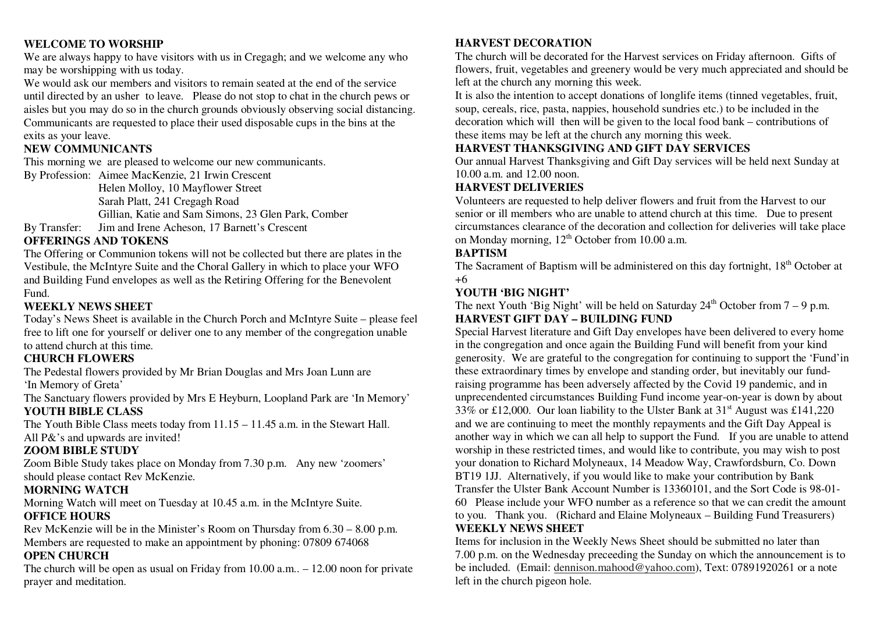#### **WELCOME TO WORSHIP**

 We are always happy to have visitors with us in Cregagh; and we welcome any who may be worshipping with us today.

We would ask our members and visitors to remain seated at the end of the service until directed by an usher to leave. Please do not stop to chat in the church pews or aisles but you may do so in the church grounds obviously observing social distancing. Communicants are requested to place their used disposable cups in the bins at the exits as your leave.

## **NEW COMMUNICANTS**

This morning we are pleased to welcome our new communicants.

By Profession: Aimee MacKenzie, 21 Irwin Crescent Helen Molloy, 10 Mayflower Street Sarah Platt, 241 Cregagh Road Gillian, Katie and Sam Simons, 23 Glen Park, Comber By Transfer: Jim and Irene Acheson, 17 Barnett's Crescent

# **OFFERINGS AND TOKENS**

 The Offering or Communion tokens will not be collected but there are plates in the Vestibule, the McIntyre Suite and the Choral Gallery in which to place your WFO and Building Fund envelopes as well as the Retiring Offering for the Benevolent Fund.

## **WEEKLY NEWS SHEET**

 Today's News Sheet is available in the Church Porch and McIntyre Suite – please feel free to lift one for yourself or deliver one to any member of the congregation unable to attend church at this time.

# **CHURCH FLOWERS**

 The Pedestal flowers provided by Mr Brian Douglas and Mrs Joan Lunn are 'In Memory of Greta'

 The Sanctuary flowers provided by Mrs E Heyburn, Loopland Park are 'In Memory' **YOUTH BIBLE CLASS** 

 The Youth Bible Class meets today from 11.15 – 11.45 a.m. in the Stewart Hall. All P&'s and upwards are invited!

### **ZOOM BIBLE STUDY**

 Zoom Bible Study takes place on Monday from 7.30 p.m. Any new 'zoomers' should please contact Rev McKenzie.

# **MORNING WATCH**

 Morning Watch will meet on Tuesday at 10.45 a.m. in the McIntyre Suite. **OFFICE HOURS** 

 Rev McKenzie will be in the Minister's Room on Thursday from 6.30 – 8.00 p.m. Members are requested to make an appointment by phoning: 07809 674068

# **OPEN CHURCH**

 The church will be open as usual on Friday from 10.00 a.m.. – 12.00 noon for private prayer and meditation.

# **HARVEST DECORATION**

 The church will be decorated for the Harvest services on Friday afternoon. Gifts of flowers, fruit, vegetables and greenery would be very much appreciated and should be left at the church any morning this week.

 It is also the intention to accept donations of longlife items (tinned vegetables, fruit, soup, cereals, rice, pasta, nappies, household sundries etc.) to be included in the decoration which will then will be given to the local food bank – contributions of these items may be left at the church any morning this week.

# **HARVEST THANKSGIVING AND GIFT DAY SERVICES**

 Our annual Harvest Thanksgiving and Gift Day services will be held next Sunday at 10.00 a.m. and 12.00 noon.

### **HARVEST DELIVERIES**

 Volunteers are requested to help deliver flowers and fruit from the Harvest to our senior or ill members who are unable to attend church at this time. Due to present circumstances clearance of the decoration and collection for deliveries will take place on Monday morning,  $12<sup>th</sup>$  October from 10.00 a.m.

#### **BAPTISM**

The Sacrament of Baptism will be administered on this day fortnight, 18<sup>th</sup> October at +6

#### **YOUTH 'BIG NIGHT'**

The next Youth 'Big Night' will be held on Saturday  $24<sup>th</sup>$  October from  $7 - 9$  p.m. **HARVEST GIFT DAY – BUILDING FUND** 

 Special Harvest literature and Gift Day envelopes have been delivered to every home in the congregation and once again the Building Fund will benefit from your kind generosity. We are grateful to the congregation for continuing to support the 'Fund'in these extraordinary times by envelope and standing order, but inevitably our fundraising programme has been adversely affected by the Covid 19 pandemic, and in unprecendented circumstances Building Fund income year-on-year is down by about 33% or £12,000. Our loan liability to the Ulster Bank at  $31<sup>st</sup>$  August was £141,220 and we are continuing to meet the monthly repayments and the Gift Day Appeal is another way in which we can all help to support the Fund. If you are unable to attend worship in these restricted times, and would like to contribute, you may wish to post your donation to Richard Molyneaux, 14 Meadow Way, Crawfordsburn, Co. Down BT19 1JJ. Alternatively, if you would like to make your contribution by Bank Transfer the Ulster Bank Account Number is 13360101, and the Sort Code is 98-01- 60 Please include your WFO number as a reference so that we can credit the amount to you. Thank you. (Richard and Elaine Molyneaux – Building Fund Treasurers) **WEEKLY NEWS SHEET** 

 Items for inclusion in the Weekly News Sheet should be submitted no later than 7.00 p.m. on the Wednesday preceeding the Sunday on which the announcement is to be included. (Email: dennison.mahood@yahoo.com), Text: 07891920261 or a note left in the church pigeon hole.